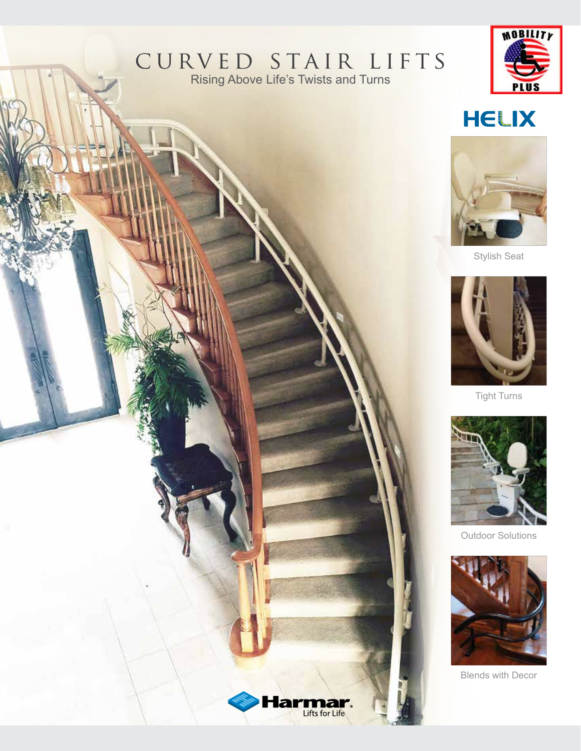#### CURVED STAIR LIFTS Rising Above Life's Twists and Turns

Э

a Lifts for Life



### **HELIX**



**Stylish Seat** 



**Tight Turns** 



**Outdoor Solutions** 



**Blends with Decor**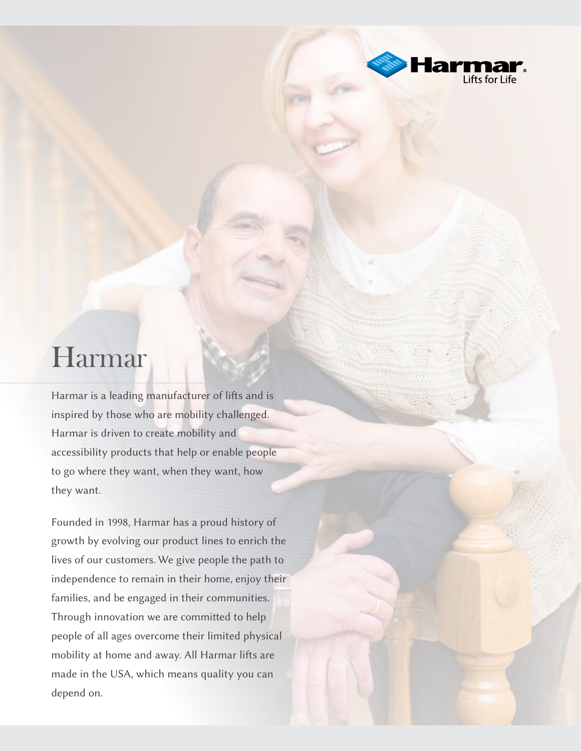

### Harmar

Harmar is a leading manufacturer of lifts and is inspired by those who are mobility challenged. Harmar is driven to create mobility and accessibility products that help or enable people to go where they want, when they want, how they want.

Founded in 1998, Harmar has a proud history of growth by evolving our product lines to enrich the lives of our customers. We give people the path to independence to remain in their home, enjoy their families, and be engaged in their communities. Through innovation we are committed to help people of all ages overcome their limited physical mobility at home and away. All Harmar lifts are made in the USA, which means quality you can depend on.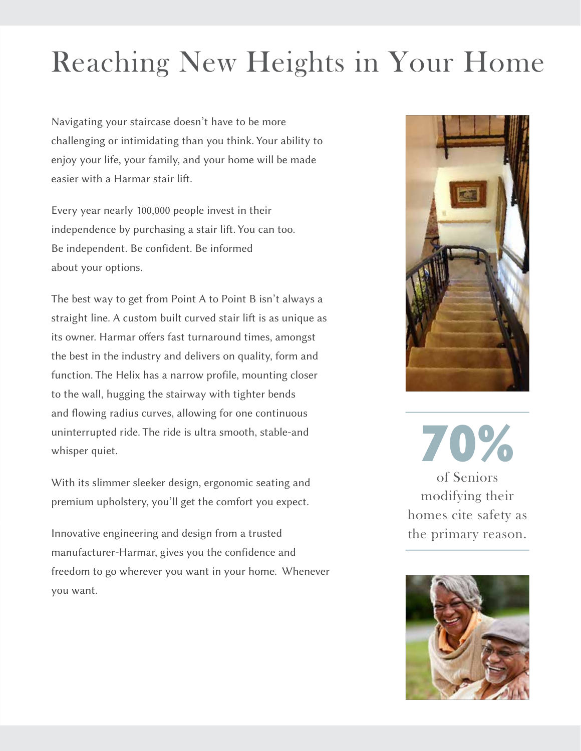# **Reaching New Heights in Your Home**

Navigating your staircase doesn't have to be more challenging or intimidating than you think. Your ability to enjoy your life, your family, and your home will be made easier with a Harmar stair lift.

Every year nearly 100,000 people invest in their independence by purchasing a stair lift. You can too. Be independent. Be confident. Be informed about your options.

The best way to get from Point A to Point B isn't always a straight line. A custom built curved stair lift is as unique as its owner. Harmar offers fast turnaround times, amongst the best in the industry and delivers on quality, form and function. The Helix has a narrow profile, mounting closer to the wall, hugging the stairway with tighter bends and flowing radius curves, allowing for one continuous uninterrupted ride. The ride is ultra smooth, stable-and whisper quiet.

With its slimmer sleeker design, ergonomic seating and premium upholstery, you'll get the comfort you expect.

Innovative engineering and design from a trusted manufacturer-Harmar, gives you the confidence and freedom to go wherever you want in your home. Whenever you want.



70% of Seniors modifying their homes cite safety as the primary reason.

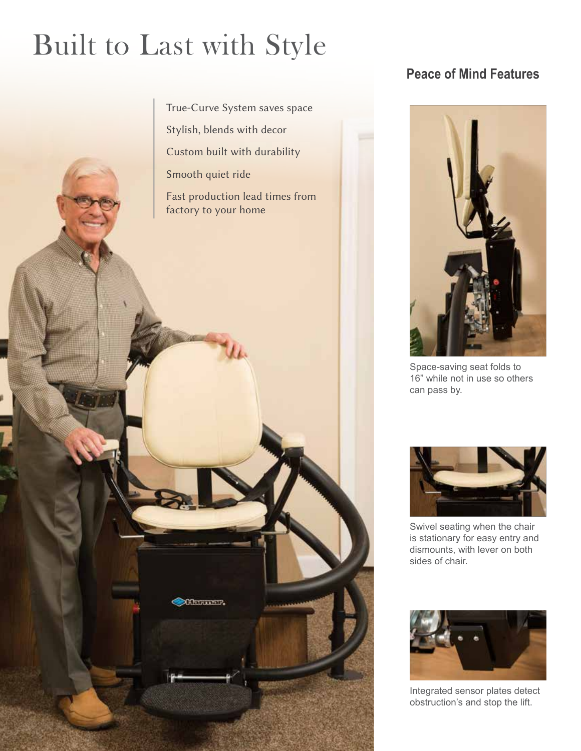## **Built to Last with Style**

True-Curve System saves space

Stylish, blends with decor

Custom built with durability

Smooth quiet ride

**Officialists** 

Fast production lead times from factory to your home

#### **Peace of Mind Features**



Space-saving seat folds to 16" while not in use so others can pass by.



Swivel seating when the chair is stationary for easy entry and dismounts, with lever on both sides of chair.



Integrated sensor plates detect obstruction's and stop the lift.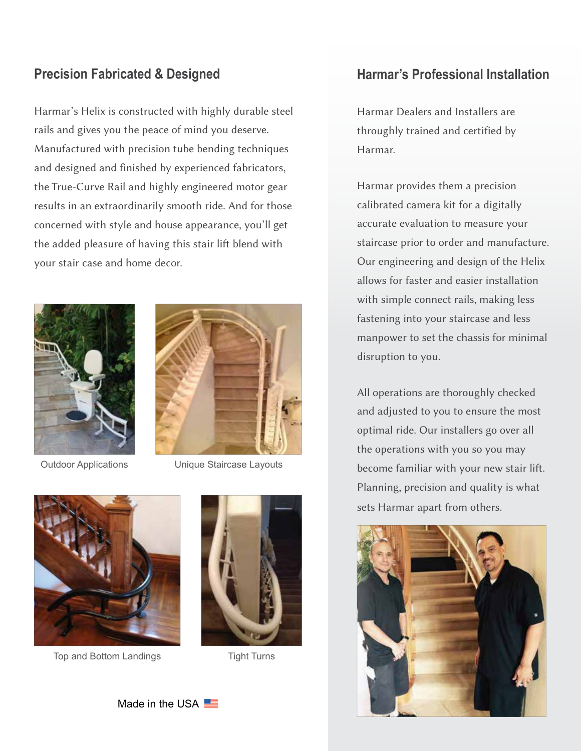#### **Precision Fabricated & Designed**

Harmar's Helix is constructed with highly durable steel rails and gives you the peace of mind you deserve. Manufactured with precision tube bending techniques and designed and finished by experienced fabricators, the True-Curve Rail and highly engineered motor gear results in an extraordinarily smooth ride. And for those concerned with style and house appearance, you'll get the added pleasure of having this stair lift blend with your stair case and home decor.



**Outdoor Applications** 

Unique Staircase Layouts



Top and Bottom Landings



**Tight Turns** 

#### **Harmar's Professional Installation**

Harmar Dealers and Installers are throughly trained and certified by Harmar.

Harmar provides them a precision calibrated camera kit for a digitally accurate evaluation to measure your staircase prior to order and manufacture. Our engineering and design of the Helix allows for faster and easier installation with simple connect rails, making less fastening into your staircase and less manpower to set the chassis for minimal disruption to you.

All operations are thoroughly checked and adjusted to you to ensure the most optimal ride. Our installers go over all the operations with you so you may become familiar with your new stair lift. Planning, precision and quality is what sets Harmar apart from others.



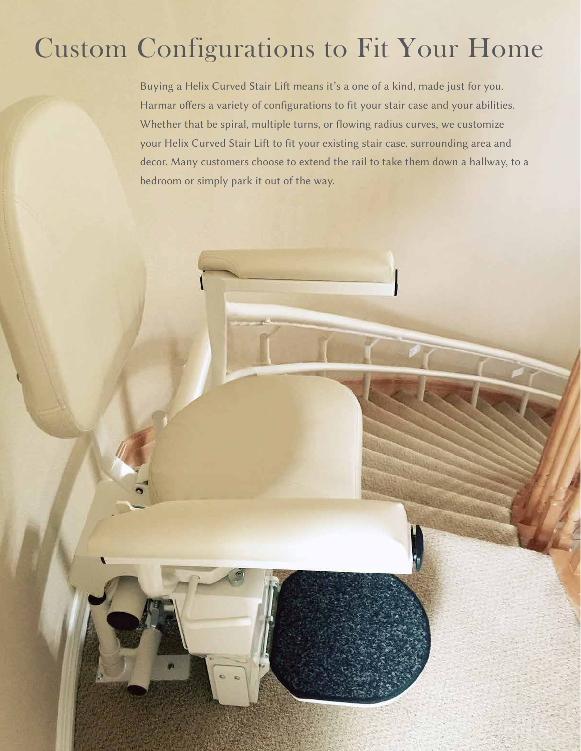### **Custom Configurations to Fit Your Home**

Buying a Helix Curved Stair Lift means it's a one of a kind, made just for you. Harmar offers a variety of configurations to fit your stair case and your abilities. Whether that be spiral, multiple turns, or flowing radius curves, we customize your Helix Curved Stair Lift to fit your existing stair case, surrounding area and decor. Many customers choose to extend the rail to take them down a hallway, to a bedroom or simply park it out of the way.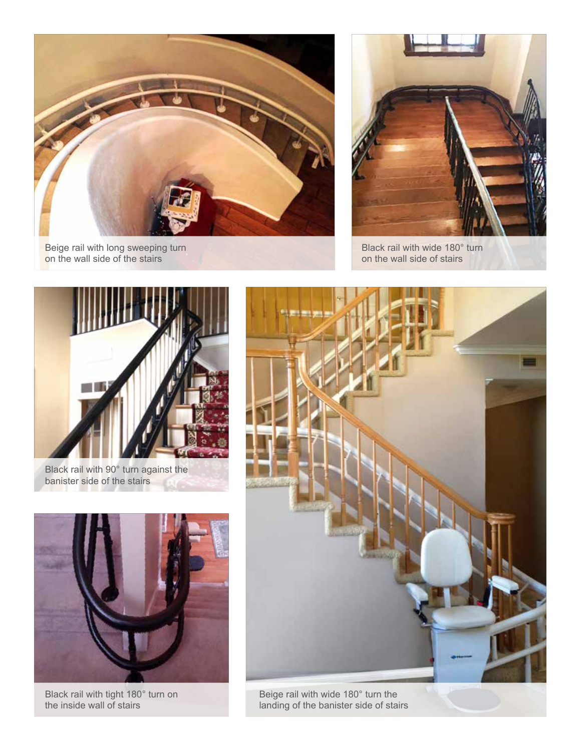

Beige rail with long sweeping turn<br>on the wall side of the stairs



Black rail with wide 180° turn on the wall side of stairs



Black rail with 90° turn against the banister side of the stairs



Black rail with tight 180° turn on the inside wall of stairs



landing of the banister side of stairs